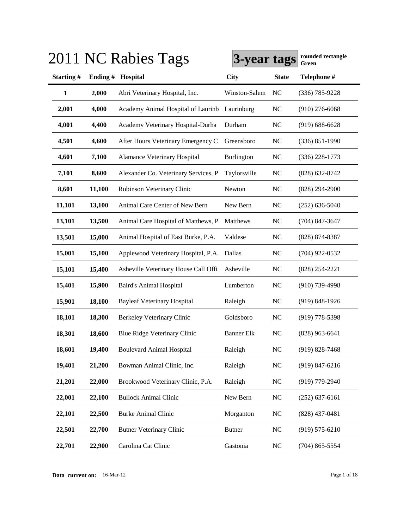| ZU 1         |         | NC Rabies Tags                                | 3-year tags       |                | rounded rectangle<br>Green |
|--------------|---------|-----------------------------------------------|-------------------|----------------|----------------------------|
| Starting#    | Ending# | Hospital                                      | <b>City</b>       | <b>State</b>   | Telephone #                |
| $\mathbf{1}$ | 2,000   | Abri Veterinary Hospital, Inc.                | Winston-Salem     | N <sub>C</sub> | $(336)$ 785-9228           |
| 2,001        | 4,000   | Academy Animal Hospital of Laurinb Laurinburg |                   | <b>NC</b>      | $(910)$ 276-6068           |
| 4,001        | 4,400   | Academy Veterinary Hospital-Durha             | Durham            | NC             | $(919) 688 - 6628$         |
| 4,501        | 4,600   | After Hours Veterinary Emergency C            | Greensboro        | NC             | $(336) 851 - 1990$         |
| 4,601        | 7,100   | Alamance Veterinary Hospital                  | Burlington        | NC             | $(336)$ 228-1773           |
| 7,101        | 8,600   | Alexander Co. Veterinary Services, P          | Taylorsville      | NC             | $(828) 632 - 8742$         |
| 8,601        | 11,100  | Robinson Veterinary Clinic                    | Newton            | NC             | $(828) 294 - 2900$         |
| 11,101       | 13,100  | Animal Care Center of New Bern                | New Bern          | NC             | $(252) 636 - 5040$         |
| 13,101       | 13,500  | Animal Care Hospital of Matthews, P           | Matthews          | NC             | $(704)$ 847-3647           |
| 13,501       | 15,000  | Animal Hospital of East Burke, P.A.           | Valdese           | NC             | (828) 874-8387             |
| 15,001       | 15,100  | Applewood Veterinary Hospital, P.A.           | Dallas            | NC             | $(704)$ 922-0532           |
| 15,101       | 15,400  | Asheville Veterinary House Call Offi          | Asheville         | NC             | $(828)$ 254-2221           |
| 15,401       | 15,900  | <b>Baird's Animal Hospital</b>                | Lumberton         | NC             | $(910)$ 739-4998           |
| 15,901       | 18,100  | <b>Bayleaf Veterinary Hospital</b>            | Raleigh           | NC             | $(919) 848 - 1926$         |
| 18,101       | 18,300  | Berkeley Veterinary Clinic                    | Goldsboro         | NC             | $(919)$ 778-5398           |
| 18,301       | 18,600  | Blue Ridge Veterinary Clinic                  | <b>Banner Elk</b> | <b>NC</b>      | $(828)$ 963-6641           |
| 18,601       | 19,400  | <b>Boulevard Animal Hospital</b>              | Raleigh           | NC             | $(919) 828 - 7468$         |
| 19,401       | 21,200  | Bowman Animal Clinic, Inc.                    | Raleigh           | NC             | $(919)$ 847-6216           |
| 21,201       | 22,000  | Brookwood Veterinary Clinic, P.A.             | Raleigh           | NC             | $(919)$ 779-2940           |
| 22,001       | 22,100  | <b>Bullock Animal Clinic</b>                  | New Bern          | NC             | $(252)$ 637-6161           |
| 22,101       | 22,500  | <b>Burke Animal Clinic</b>                    | Morganton         | <b>NC</b>      | $(828)$ 437-0481           |
| 22,501       | 22,700  | <b>Butner Veterinary Clinic</b>               | <b>Butner</b>     | NC             | $(919) 575 - 6210$         |
| 22,701       | 22,900  | Carolina Cat Clinic                           | Gastonia          | NC             | $(704)$ 865-5554           |

# **3011 NC Rabies Tags a**

**Data current on:** 16-Mar-12 Page 1 of 18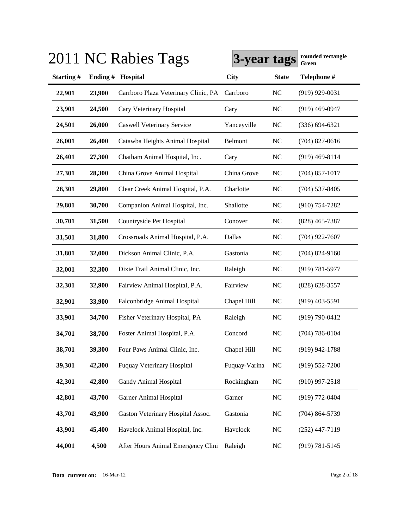| Starting#<br>Hospital<br><b>City</b><br>Ending#<br><b>State</b><br>22,901<br>23,900<br>Carrboro Plaza Veterinary Clinic, PA<br>Carrboro<br>NC<br>23,901<br>24,500<br>Cary Veterinary Hospital<br>Cary<br>NC<br>24,501<br>26,000<br>Yanceyville<br><b>Caswell Veterinary Service</b><br>NC<br>26,001<br>26,400<br>Catawba Heights Animal Hospital<br>Belmont<br>NC<br>26,401<br>27,300<br>Chatham Animal Hospital, Inc.<br>Cary<br>NC<br>China Grove Animal Hospital<br>China Grove<br>27,301<br>NC<br>28,300<br>28,301<br>Clear Creek Animal Hospital, P.A.<br>Charlotte<br>NC<br>29,800<br>Companion Animal Hospital, Inc.<br>Shallotte<br><b>NC</b><br>29,801<br>30,700<br>30,701<br>31,500<br>Countryside Pet Hospital<br>NC<br>Conover<br>Dallas<br>31,501<br>31,800<br>Crossroads Animal Hospital, P.A.<br>NC<br><b>NC</b><br>31,801<br>32,000<br>Dickson Animal Clinic, P.A.<br>Gastonia<br>32,001<br>32,300<br>Dixie Trail Animal Clinic, Inc.<br>Raleigh<br><b>NC</b><br>32,301<br>32,900<br>Fairview Animal Hospital, P.A.<br>Fairview<br><b>NC</b><br>32,901<br>33,900<br>Falconbridge Animal Hospital<br>Chapel Hill<br><b>NC</b><br>33,901<br>34,700<br>Fisher Veterinary Hospital, PA<br>Raleigh<br><b>NC</b><br>34,701<br>38,700<br>Foster Animal Hospital, P.A.<br>Concord<br><b>NC</b><br>38,701<br>39,300<br>NC<br>Four Paws Animal Clinic, Inc.<br>Chapel Hill<br>42,300<br><b>NC</b><br>39,301<br><b>Fuquay Veterinary Hospital</b><br>Fuquay-Varina<br>NC<br>42,301<br>42,800<br>Gandy Animal Hospital<br>Rockingham<br>43,700<br><b>NC</b><br>42,801<br>Garner Animal Hospital<br>Garner<br>43,900<br>43,701<br>Gaston Veterinary Hospital Assoc.<br>Gastonia<br><b>NC</b><br>43,901<br>45,400<br>Havelock Animal Hospital, Inc.<br>Havelock<br><b>NC</b><br>44,001<br>4,500<br>After Hours Animal Emergency Clini<br>Raleigh<br><b>NC</b> |  | 2011 NC Rabies Tags | 3-year tags | rounded rectangle<br>Green |
|-----------------------------------------------------------------------------------------------------------------------------------------------------------------------------------------------------------------------------------------------------------------------------------------------------------------------------------------------------------------------------------------------------------------------------------------------------------------------------------------------------------------------------------------------------------------------------------------------------------------------------------------------------------------------------------------------------------------------------------------------------------------------------------------------------------------------------------------------------------------------------------------------------------------------------------------------------------------------------------------------------------------------------------------------------------------------------------------------------------------------------------------------------------------------------------------------------------------------------------------------------------------------------------------------------------------------------------------------------------------------------------------------------------------------------------------------------------------------------------------------------------------------------------------------------------------------------------------------------------------------------------------------------------------------------------------------------------------------------------------------------------------------------------------------------------------------------------------------------------------|--|---------------------|-------------|----------------------------|
|                                                                                                                                                                                                                                                                                                                                                                                                                                                                                                                                                                                                                                                                                                                                                                                                                                                                                                                                                                                                                                                                                                                                                                                                                                                                                                                                                                                                                                                                                                                                                                                                                                                                                                                                                                                                                                                                 |  |                     |             | Telephone #                |
|                                                                                                                                                                                                                                                                                                                                                                                                                                                                                                                                                                                                                                                                                                                                                                                                                                                                                                                                                                                                                                                                                                                                                                                                                                                                                                                                                                                                                                                                                                                                                                                                                                                                                                                                                                                                                                                                 |  |                     |             | $(919)$ 929-0031           |
|                                                                                                                                                                                                                                                                                                                                                                                                                                                                                                                                                                                                                                                                                                                                                                                                                                                                                                                                                                                                                                                                                                                                                                                                                                                                                                                                                                                                                                                                                                                                                                                                                                                                                                                                                                                                                                                                 |  |                     |             | $(919)$ 469-0947           |
|                                                                                                                                                                                                                                                                                                                                                                                                                                                                                                                                                                                                                                                                                                                                                                                                                                                                                                                                                                                                                                                                                                                                                                                                                                                                                                                                                                                                                                                                                                                                                                                                                                                                                                                                                                                                                                                                 |  |                     |             | $(336) 694 - 6321$         |
|                                                                                                                                                                                                                                                                                                                                                                                                                                                                                                                                                                                                                                                                                                                                                                                                                                                                                                                                                                                                                                                                                                                                                                                                                                                                                                                                                                                                                                                                                                                                                                                                                                                                                                                                                                                                                                                                 |  |                     |             | $(704)$ 827-0616           |
|                                                                                                                                                                                                                                                                                                                                                                                                                                                                                                                                                                                                                                                                                                                                                                                                                                                                                                                                                                                                                                                                                                                                                                                                                                                                                                                                                                                                                                                                                                                                                                                                                                                                                                                                                                                                                                                                 |  |                     |             | $(919)$ 469-8114           |
|                                                                                                                                                                                                                                                                                                                                                                                                                                                                                                                                                                                                                                                                                                                                                                                                                                                                                                                                                                                                                                                                                                                                                                                                                                                                                                                                                                                                                                                                                                                                                                                                                                                                                                                                                                                                                                                                 |  |                     |             | $(704)$ 857-1017           |
|                                                                                                                                                                                                                                                                                                                                                                                                                                                                                                                                                                                                                                                                                                                                                                                                                                                                                                                                                                                                                                                                                                                                                                                                                                                                                                                                                                                                                                                                                                                                                                                                                                                                                                                                                                                                                                                                 |  |                     |             | $(704)$ 537-8405           |
|                                                                                                                                                                                                                                                                                                                                                                                                                                                                                                                                                                                                                                                                                                                                                                                                                                                                                                                                                                                                                                                                                                                                                                                                                                                                                                                                                                                                                                                                                                                                                                                                                                                                                                                                                                                                                                                                 |  |                     |             | $(910) 754 - 7282$         |
|                                                                                                                                                                                                                                                                                                                                                                                                                                                                                                                                                                                                                                                                                                                                                                                                                                                                                                                                                                                                                                                                                                                                                                                                                                                                                                                                                                                                                                                                                                                                                                                                                                                                                                                                                                                                                                                                 |  |                     |             | $(828)$ 465-7387           |
|                                                                                                                                                                                                                                                                                                                                                                                                                                                                                                                                                                                                                                                                                                                                                                                                                                                                                                                                                                                                                                                                                                                                                                                                                                                                                                                                                                                                                                                                                                                                                                                                                                                                                                                                                                                                                                                                 |  |                     |             | $(704)$ 922-7607           |
|                                                                                                                                                                                                                                                                                                                                                                                                                                                                                                                                                                                                                                                                                                                                                                                                                                                                                                                                                                                                                                                                                                                                                                                                                                                                                                                                                                                                                                                                                                                                                                                                                                                                                                                                                                                                                                                                 |  |                     |             | $(704)$ 824-9160           |
|                                                                                                                                                                                                                                                                                                                                                                                                                                                                                                                                                                                                                                                                                                                                                                                                                                                                                                                                                                                                                                                                                                                                                                                                                                                                                                                                                                                                                                                                                                                                                                                                                                                                                                                                                                                                                                                                 |  |                     |             | $(919) 781 - 5977$         |
|                                                                                                                                                                                                                                                                                                                                                                                                                                                                                                                                                                                                                                                                                                                                                                                                                                                                                                                                                                                                                                                                                                                                                                                                                                                                                                                                                                                                                                                                                                                                                                                                                                                                                                                                                                                                                                                                 |  |                     |             | $(828) 628 - 3557$         |
|                                                                                                                                                                                                                                                                                                                                                                                                                                                                                                                                                                                                                                                                                                                                                                                                                                                                                                                                                                                                                                                                                                                                                                                                                                                                                                                                                                                                                                                                                                                                                                                                                                                                                                                                                                                                                                                                 |  |                     |             | $(919)$ 403-5591           |
|                                                                                                                                                                                                                                                                                                                                                                                                                                                                                                                                                                                                                                                                                                                                                                                                                                                                                                                                                                                                                                                                                                                                                                                                                                                                                                                                                                                                                                                                                                                                                                                                                                                                                                                                                                                                                                                                 |  |                     |             | (919) 790-0412             |
|                                                                                                                                                                                                                                                                                                                                                                                                                                                                                                                                                                                                                                                                                                                                                                                                                                                                                                                                                                                                                                                                                                                                                                                                                                                                                                                                                                                                                                                                                                                                                                                                                                                                                                                                                                                                                                                                 |  |                     |             | $(704) 786 - 0104$         |
|                                                                                                                                                                                                                                                                                                                                                                                                                                                                                                                                                                                                                                                                                                                                                                                                                                                                                                                                                                                                                                                                                                                                                                                                                                                                                                                                                                                                                                                                                                                                                                                                                                                                                                                                                                                                                                                                 |  |                     |             | $(919)$ 942-1788           |
|                                                                                                                                                                                                                                                                                                                                                                                                                                                                                                                                                                                                                                                                                                                                                                                                                                                                                                                                                                                                                                                                                                                                                                                                                                                                                                                                                                                                                                                                                                                                                                                                                                                                                                                                                                                                                                                                 |  |                     |             | $(919) 552 - 7200$         |
|                                                                                                                                                                                                                                                                                                                                                                                                                                                                                                                                                                                                                                                                                                                                                                                                                                                                                                                                                                                                                                                                                                                                                                                                                                                                                                                                                                                                                                                                                                                                                                                                                                                                                                                                                                                                                                                                 |  |                     |             | $(910)$ 997-2518           |
|                                                                                                                                                                                                                                                                                                                                                                                                                                                                                                                                                                                                                                                                                                                                                                                                                                                                                                                                                                                                                                                                                                                                                                                                                                                                                                                                                                                                                                                                                                                                                                                                                                                                                                                                                                                                                                                                 |  |                     |             | (919) 772-0404             |
|                                                                                                                                                                                                                                                                                                                                                                                                                                                                                                                                                                                                                                                                                                                                                                                                                                                                                                                                                                                                                                                                                                                                                                                                                                                                                                                                                                                                                                                                                                                                                                                                                                                                                                                                                                                                                                                                 |  |                     |             | $(704)$ 864-5739           |
|                                                                                                                                                                                                                                                                                                                                                                                                                                                                                                                                                                                                                                                                                                                                                                                                                                                                                                                                                                                                                                                                                                                                                                                                                                                                                                                                                                                                                                                                                                                                                                                                                                                                                                                                                                                                                                                                 |  |                     |             | $(252)$ 447-7119           |
|                                                                                                                                                                                                                                                                                                                                                                                                                                                                                                                                                                                                                                                                                                                                                                                                                                                                                                                                                                                                                                                                                                                                                                                                                                                                                                                                                                                                                                                                                                                                                                                                                                                                                                                                                                                                                                                                 |  |                     |             | $(919) 781 - 5145$         |

## $3011$  NC R<sub>a</sub>bies T<sub>ags</sub>  $\overline{y}$

**Data current on:** 16-Mar-12 Page 2 of 18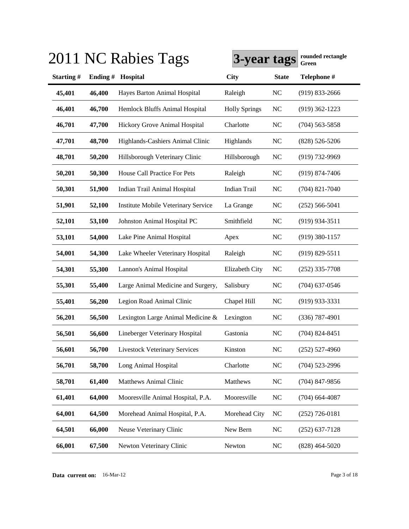|           |         | 2011 NC Rabies Tags                        | 3-year tags          |              | rounded rectangle<br>Green |
|-----------|---------|--------------------------------------------|----------------------|--------------|----------------------------|
| Starting# | Ending# | Hospital                                   | <b>City</b>          | <b>State</b> | Telephone #                |
| 45,401    | 46,400  | Hayes Barton Animal Hospital               | Raleigh              | <b>NC</b>    | $(919)$ 833-2666           |
| 46,401    | 46,700  | Hemlock Bluffs Animal Hospital             | <b>Holly Springs</b> | NC           | $(919)$ 362-1223           |
| 46,701    | 47,700  | Hickory Grove Animal Hospital              | Charlotte            | <b>NC</b>    | $(704)$ 563-5858           |
| 47,701    | 48,700  | Highlands-Cashiers Animal Clinic           | Highlands            | NC           | $(828) 526 - 5206$         |
| 48,701    | 50,200  | Hillsborough Veterinary Clinic             | Hillsborough         | <b>NC</b>    | $(919)$ 732-9969           |
| 50,201    | 50,300  | House Call Practice For Pets               | Raleigh              | NC           | $(919) 874 - 7406$         |
| 50,301    | 51,900  | Indian Trail Animal Hospital               | <b>Indian Trail</b>  | NC           | $(704)$ 821-7040           |
| 51,901    | 52,100  | <b>Institute Mobile Veterinary Service</b> | La Grange            | NC           | $(252) 566 - 5041$         |
| 52,101    | 53,100  | Johnston Animal Hospital PC                | Smithfield           | <b>NC</b>    | $(919)$ 934-3511           |
| 53,101    | 54,000  | Lake Pine Animal Hospital                  | Apex                 | <b>NC</b>    | $(919)$ 380-1157           |
| 54,001    | 54,300  | Lake Wheeler Veterinary Hospital           | Raleigh              | <b>NC</b>    | $(919) 829 - 5511$         |
| 54,301    | 55,300  | Lannon's Animal Hospital                   | Elizabeth City       | <b>NC</b>    | $(252)$ 335-7708           |
| 55,301    | 55,400  | Large Animal Medicine and Surgery,         | Salisbury            | NC           | $(704)$ 637-0546           |
| 55,401    | 56,200  | Legion Road Animal Clinic                  | Chapel Hill          | <b>NC</b>    | $(919)$ 933-3331           |
| 56,201    | 56,500  | Lexington Large Animal Medicine &          | Lexington            | <b>NC</b>    | $(336)$ 787-4901           |
| 56,501    | 56,600  | Lineberger Veterinary Hospital             | Gastonia             | NC           | $(704)$ 824-8451           |
| 56,601    | 56,700  | <b>Livestock Veterinary Services</b>       | Kinston              | NC           | $(252)$ 527-4960           |
| 56,701    | 58,700  | Long Animal Hospital                       | Charlotte            | NC           | $(704)$ 523-2996           |
| 58,701    | 61,400  | <b>Matthews Animal Clinic</b>              | Matthews             | NC           | $(704)$ 847-9856           |
| 61,401    | 64,000  | Mooresville Animal Hospital, P.A.          | Mooresville          | NC           | $(704)$ 664-4087           |
| 64,001    | 64,500  | Morehead Animal Hospital, P.A.             | Morehead City        | <b>NC</b>    | $(252)$ 726-0181           |
| 64,501    | 66,000  | Neuse Veterinary Clinic                    | New Bern             | <b>NC</b>    | $(252)$ 637-7128           |
| 66,001    | 67,500  | Newton Veterinary Clinic                   | Newton               | NC           | $(828)$ 464-5020           |

## **3011 NC Rabies Tags Green** 2011 **rounded rectangle**

**Data current on:** 16-Mar-12 Page 3 of 18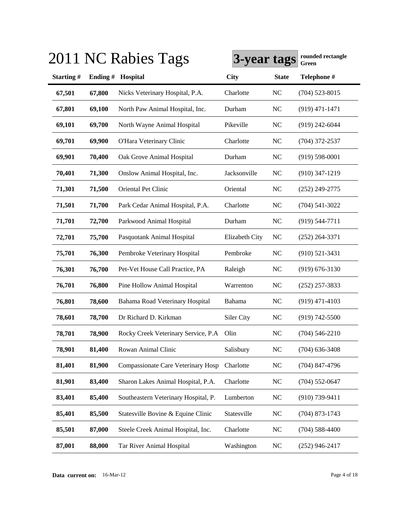|           |         | 2011 NC Rabies Tags                  | 3-year tags    |              | rounded rectangle<br>Green |
|-----------|---------|--------------------------------------|----------------|--------------|----------------------------|
| Starting# | Ending# | Hospital                             | <b>City</b>    | <b>State</b> | Telephone #                |
| 67,501    | 67,800  | Nicks Veterinary Hospital, P.A.      | Charlotte      | NC           | $(704)$ 523-8015           |
| 67,801    | 69,100  | North Paw Animal Hospital, Inc.      | Durham         | NC           | $(919)$ 471-1471           |
| 69,101    | 69,700  | North Wayne Animal Hospital          | Pikeville      | NC           | $(919)$ 242-6044           |
| 69,701    | 69,900  | O'Hara Veterinary Clinic             | Charlotte      | NC           | $(704)$ 372-2537           |
| 69,901    | 70,400  | Oak Grove Animal Hospital            | Durham         | NC           | $(919) 598 - 0001$         |
| 70,401    | 71,300  | Onslow Animal Hospital, Inc.         | Jacksonville   | NC           | $(910)$ 347-1219           |
| 71,301    | 71,500  | Oriental Pet Clinic                  | Oriental       | NC           | $(252)$ 249-2775           |
| 71,501    | 71,700  | Park Cedar Animal Hospital, P.A.     | Charlotte      | NC           | $(704)$ 541-3022           |
| 71,701    | 72,700  | Parkwood Animal Hospital             | Durham         | NC           | $(919) 544 - 7711$         |
| 72,701    | 75,700  | Pasquotank Animal Hospital           | Elizabeth City | NC           | $(252)$ 264-3371           |
| 75,701    | 76,300  | Pembroke Veterinary Hospital         | Pembroke       | NC           | $(910) 521 - 3431$         |
| 76,301    | 76,700  | Pet-Vet House Call Practice, PA      | Raleigh        | NC           | $(919) 676 - 3130$         |
| 76,701    | 76,800  | Pine Hollow Animal Hospital          | Warrenton      | <b>NC</b>    | $(252)$ 257-3833           |
| 76,801    | 78,600  | Bahama Road Veterinary Hospital      | Bahama         | <b>NC</b>    | $(919)$ 471-4103           |
| 78,601    | 78,700  | Dr Richard D. Kirkman                | Siler City     | <b>NC</b>    | $(919) 742 - 5500$         |
| 78,701    | 78,900  | Rocky Creek Veterinary Service, P.A  | Olin           | <b>NC</b>    | $(704) 546 - 2210$         |
| 78,901    | 81,400  | Rowan Animal Clinic                  | Salisbury      | NC           | $(704)$ 636-3408           |
| 81,401    | 81,900  | Compassionate Care Veterinary Hosp   | Charlotte      | NC           | $(704)$ 847-4796           |
| 81,901    | 83,400  | Sharon Lakes Animal Hospital, P.A.   | Charlotte      | <b>NC</b>    | $(704)$ 552-0647           |
| 83,401    | 85,400  | Southeastern Veterinary Hospital, P. | Lumberton      | <b>NC</b>    | $(910)$ 739-9411           |
| 85,401    | 85,500  | Statesville Bovine & Equine Clinic   | Statesville    | <b>NC</b>    | $(704)$ 873-1743           |
| 85,501    | 87,000  | Steele Creek Animal Hospital, Inc.   | Charlotte      | <b>NC</b>    | $(704) 588 - 4400$         |
| 87,001    | 88,000  | Tar River Animal Hospital            | Washington     | <b>NC</b>    | $(252)$ 946-2417           |

## $3011$  NC R<sub>a</sub>bies T<sub>ags</sub>  $\overline{y}$

**Data current on:** 16-Mar-12 Page 4 of 18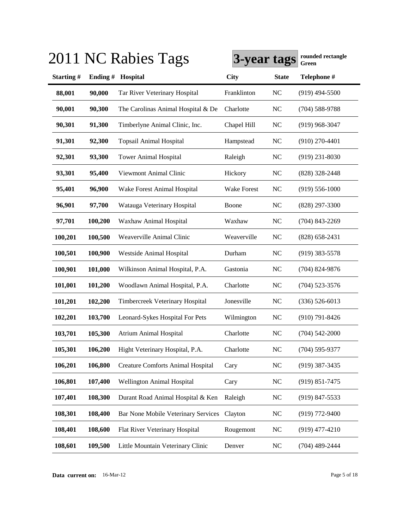|           |         | 2011 NC Rabies Tags                        | 3-year tags        |              | rounded rectangle<br>Green |
|-----------|---------|--------------------------------------------|--------------------|--------------|----------------------------|
| Starting# | Ending# | Hospital                                   | <b>City</b>        | <b>State</b> | Telephone #                |
| 88,001    | 90,000  | Tar River Veterinary Hospital              | Franklinton        | NC           | $(919)$ 494-5500           |
| 90,001    | 90,300  | The Carolinas Animal Hospital & De         | Charlotte          | NC           | $(704)$ 588-9788           |
| 90,301    | 91,300  | Timberlyne Animal Clinic, Inc.             | Chapel Hill        | NC           | $(919)$ 968-3047           |
| 91,301    | 92,300  | <b>Topsail Animal Hospital</b>             | Hampstead          | <b>NC</b>    | $(910)$ 270-4401           |
| 92,301    | 93,300  | <b>Tower Animal Hospital</b>               | Raleigh            | NC           | $(919)$ 231-8030           |
| 93,301    | 95,400  | Viewmont Animal Clinic                     | Hickory            | NC           | (828) 328-2448             |
| 95,401    | 96,900  | Wake Forest Animal Hospital                | <b>Wake Forest</b> | NC           | $(919) 556 - 1000$         |
| 96,901    | 97,700  | Watauga Veterinary Hospital                | Boone              | NC           | $(828)$ 297-3300           |
| 97,701    | 100,200 | Waxhaw Animal Hospital                     | Waxhaw             | NC           | $(704)$ 843-2269           |
| 100,201   | 100,500 | Weaverville Animal Clinic                  | Weaverville        | NC           | $(828)$ 658-2431           |
| 100,501   | 100,900 | Westside Animal Hospital                   | Durham             | NC           | $(919)$ 383-5578           |
| 100,901   | 101,000 | Wilkinson Animal Hospital, P.A.            | Gastonia           | <b>NC</b>    | $(704)$ 824-9876           |
| 101,001   | 101,200 | Woodlawn Animal Hospital, P.A.             | Charlotte          | <b>NC</b>    | $(704)$ 523-3576           |
| 101,201   | 102,200 | Timbercreek Veterinary Hospital            | Jonesville         | <b>NC</b>    | $(336) 526 - 6013$         |
| 102,201   | 103,700 | Leonard-Sykes Hospital For Pets            | Wilmington         | <b>NC</b>    | $(910) 791 - 8426$         |
| 103,701   | 105,300 | <b>Atrium Animal Hospital</b>              | Charlotte          | <b>NC</b>    | $(704) 542 - 2000$         |
| 105,301   | 106,200 | Hight Veterinary Hospital, P.A.            | Charlotte          | <b>NC</b>    | $(704) 595 - 9377$         |
| 106,201   | 106,800 | <b>Creature Comforts Animal Hospital</b>   | Cary               | NC           | $(919)$ 387-3435           |
| 106,801   | 107,400 | <b>Wellington Animal Hospital</b>          | Cary               | <b>NC</b>    | $(919) 851 - 7475$         |
| 107,401   | 108,300 | Durant Road Animal Hospital & Ken          | Raleigh            | <b>NC</b>    | $(919)$ 847-5533           |
| 108,301   | 108,400 | <b>Bar None Mobile Veterinary Services</b> | Clayton            | <b>NC</b>    | $(919)$ 772-9400           |
| 108,401   | 108,600 | Flat River Veterinary Hospital             | Rougemont          | <b>NC</b>    | $(919)$ 477-4210           |
| 108,601   | 109,500 | Little Mountain Veterinary Clinic          | Denver             | <b>NC</b>    | $(704)$ 489-2444           |

## $3011$  NC R<sub>a</sub>bies T<sub>ags</sub>  $\overline{y}$

**Data current on:** 16-Mar-12 Page 5 of 18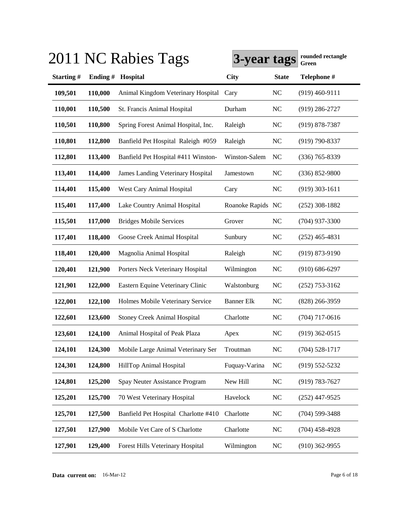|           |         | 2011 NC Rabies Tags                      | 3-year tags       |              | rounded rectangle<br>Green |
|-----------|---------|------------------------------------------|-------------------|--------------|----------------------------|
| Starting# | Ending# | Hospital                                 | <b>City</b>       | <b>State</b> | Telephone #                |
| 109,501   | 110,000 | Animal Kingdom Veterinary Hospital       | Cary              | <b>NC</b>    | $(919)$ 460-9111           |
| 110,001   | 110,500 | St. Francis Animal Hospital              | Durham            | <b>NC</b>    | $(919)$ 286-2727           |
| 110,501   | 110,800 | Spring Forest Animal Hospital, Inc.      | Raleigh           | <b>NC</b>    | $(919) 878 - 7387$         |
| 110,801   | 112,800 | Banfield Pet Hospital Raleigh #059       | Raleigh           | <b>NC</b>    | $(919) 790 - 8337$         |
| 112,801   | 113,400 | Banfield Pet Hospital #411 Winston-      | Winston-Salem     | NC           | $(336)$ 765-8339           |
| 113,401   | 114,400 | <b>James Landing Veterinary Hospital</b> | Jamestown         | <b>NC</b>    | $(336) 852 - 9800$         |
| 114,401   | 115,400 | West Cary Animal Hospital                | Cary              | <b>NC</b>    | $(919)$ 303-1611           |
| 115,401   | 117,400 | Lake Country Animal Hospital             | Roanoke Rapids NC |              | $(252)$ 308-1882           |
| 115,501   | 117,000 | <b>Bridges Mobile Services</b>           | Grover            | <b>NC</b>    | $(704)$ 937-3300           |
| 117,401   | 118,400 | Goose Creek Animal Hospital              | Sunbury           | <b>NC</b>    | $(252)$ 465-4831           |
| 118,401   | 120,400 | Magnolia Animal Hospital                 | Raleigh           | <b>NC</b>    | $(919) 873 - 9190$         |
| 120,401   | 121,900 | Porters Neck Veterinary Hospital         | Wilmington        | <b>NC</b>    | $(910) 686 - 6297$         |
| 121,901   | 122,000 | Eastern Equine Veterinary Clinic         | Walstonburg       | <b>NC</b>    | $(252)$ 753-3162           |
| 122,001   | 122,100 | Holmes Mobile Veterinary Service         | <b>Banner Elk</b> | <b>NC</b>    | $(828)$ 266-3959           |
| 122,601   | 123,600 | <b>Stoney Creek Animal Hospital</b>      | Charlotte         | <b>NC</b>    | $(704)$ 717-0616           |
| 123,601   | 124,100 | Animal Hospital of Peak Plaza            | Apex              | <b>NC</b>    | $(919)$ 362-0515           |
| 124,101   | 124,300 | Mobile Large Animal Veterinary Ser       | Troutman          | NC           | $(704)$ 528-1717           |
| 124,301   | 124,800 | HillTop Animal Hospital                  | Fuquay-Varina     | <b>NC</b>    | $(919) 552 - 5232$         |
| 124,801   | 125,200 | Spay Neuter Assistance Program           | New Hill          | NC           | $(919) 783 - 7627$         |
| 125,201   | 125,700 | 70 West Veterinary Hospital              | Havelock          | <b>NC</b>    | $(252)$ 447-9525           |
| 125,701   | 127,500 | Banfield Pet Hospital Charlotte #410     | Charlotte         | <b>NC</b>    | $(704)$ 599-3488           |
| 127,501   | 127,900 | Mobile Vet Care of S Charlotte           | Charlotte         | <b>NC</b>    | $(704)$ 458-4928           |
| 127,901   | 129,400 | Forest Hills Veterinary Hospital         | Wilmington        | <b>NC</b>    | $(910)$ 362-9955           |

**Data current on:** 16-Mar-12 Page 6 of 18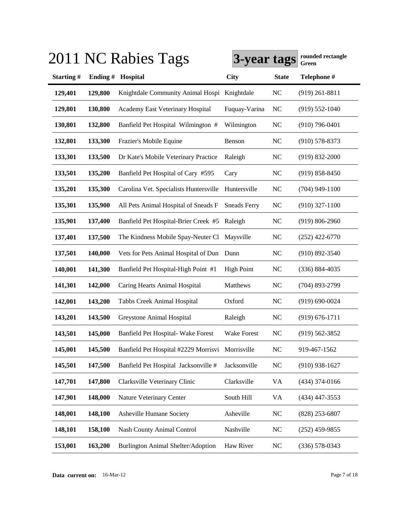|           |         | 2011 NC Rabies Tags                              | 3-year tags         |              | rounded rectangle<br>Green |
|-----------|---------|--------------------------------------------------|---------------------|--------------|----------------------------|
| Starting# | Ending# | Hospital                                         | <b>City</b>         | <b>State</b> | Telephone #                |
| 129,401   | 129,800 | Knightdale Community Animal Hospi Knightdale     |                     | <b>NC</b>    | $(919)$ 261-8811           |
| 129,801   | 130,800 | Academy East Veterinary Hospital                 | Fuquay-Varina       | <b>NC</b>    | $(919) 552 - 1040$         |
| 130,801   | 132,800 | Banfield Pet Hospital Wilmington #               | Wilmington          | <b>NC</b>    | $(910)$ 796-0401           |
| 132,801   | 133,300 | Frazier's Mobile Equine                          | Benson              | NC           | $(910)$ 578-8373           |
| 133,301   | 133,500 | Dr Kate's Mobile Veterinary Practice             | Raleigh             | <b>NC</b>    | $(919) 832 - 2000$         |
| 133,501   | 135,200 | Banfield Pet Hospital of Cary #595               | Cary                | <b>NC</b>    | $(919) 858 - 8450$         |
| 135,201   | 135,300 | Carolina Vet. Specialists Huntersville           | Huntersville        | <b>NC</b>    | $(704)$ 949-1100           |
| 135,301   | 135,900 | All Pets Animal Hospital of Sneads F             | <b>Sneads Ferry</b> | <b>NC</b>    | $(910)$ 327-1100           |
| 135,901   | 137,400 | Banfield Pet Hospital-Brier Creek #5             | Raleigh             | <b>NC</b>    | $(919) 806 - 2960$         |
| 137,401   | 137,500 | The Kindness Mobile Spay-Neuter Cl               | Maysville           | <b>NC</b>    | $(252)$ 422-6770           |
| 137,501   | 140,000 | Vets for Pets Animal Hospital of Dun Dunn        |                     | <b>NC</b>    | $(910) 892 - 3540$         |
| 140,001   | 141,300 | Banfield Pet Hospital-High Point #1              | <b>High Point</b>   | <b>NC</b>    | $(336) 884 - 4035$         |
| 141,301   | 142,000 | Caring Hearts Animal Hospital                    | Matthews            | <b>NC</b>    | (704) 893-2799             |
| 142,001   | 143,200 | Tabbs Creek Animal Hospital                      | Oxford              | <b>NC</b>    | $(919) 690 - 0024$         |
| 143,201   | 143,500 | Greystone Animal Hospital                        | Raleigh             | <b>NC</b>    | $(919) 676 - 1711$         |
| 143,501   | 145,000 | Banfield Pet Hospital- Wake Forest               | Wake Forest         | <b>NC</b>    | $(919) 562 - 3852$         |
| 145,001   | 145,500 | Banfield Pet Hospital #2229 Morrisvi Morrisville |                     | NC           | 919-467-1562               |
| 145,501   | 147,500 | Banfield Pet Hospital Jacksonville #             | Jacksonville        | NC           | $(910)$ 938-1627           |
| 147,701   | 147,800 | Clarksville Veterinary Clinic                    | Clarksville         | VA           | $(434)$ 374-0166           |
| 147,901   | 148,000 | Nature Veterinary Center                         | South Hill          | VA           | $(434)$ 447-3553           |
| 148,001   | 148,100 | Asheville Humane Society                         | Asheville           | <b>NC</b>    | $(828)$ 253-6807           |
| 148,101   | 158,100 | <b>Nash County Animal Control</b>                | Nashville           | <b>NC</b>    | $(252)$ 459-9855           |
| 153,001   | 163,200 | Burlington Animal Shelter/Adoption               | Haw River           | <b>NC</b>    | $(336)$ 578-0343           |

**Data current on:** 16-Mar-12 Page 7 of 18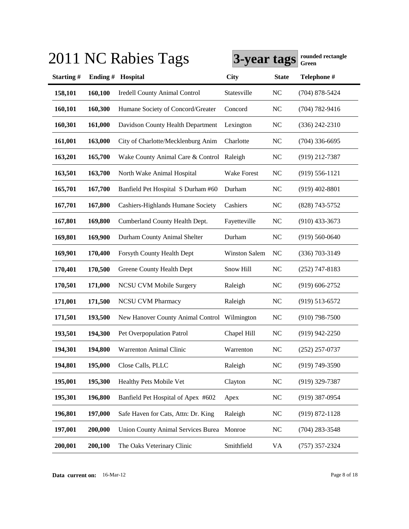|           |         | 2011 NC Rabies Tags                          | 3-year tags   |              | rounded rectangle<br>Green |
|-----------|---------|----------------------------------------------|---------------|--------------|----------------------------|
| Starting# | Ending# | Hospital                                     | <b>City</b>   | <b>State</b> | Telephone #                |
| 158,101   | 160,100 | <b>Iredell County Animal Control</b>         | Statesville   | <b>NC</b>    | $(704)$ 878-5424           |
| 160,101   | 160,300 | Humane Society of Concord/Greater            | Concord       | <b>NC</b>    | $(704) 782 - 9416$         |
| 160,301   | 161,000 | Davidson County Health Department            | Lexington     | <b>NC</b>    | $(336)$ 242-2310           |
| 161,001   | 163,000 | City of Charlotte/Mecklenburg Anim           | Charlotte     | <b>NC</b>    | $(704)$ 336-6695           |
| 163,201   | 165,700 | Wake County Animal Care & Control Raleigh    |               | NC           | (919) 212-7387             |
| 163,501   | 163,700 | North Wake Animal Hospital                   | Wake Forest   | NC           | $(919)$ 556-1121           |
| 165,701   | 167,700 | Banfield Pet Hospital S Durham #60           | Durham        | <b>NC</b>    | $(919)$ 402-8801           |
| 167,701   | 167,800 | Cashiers-Highlands Humane Society            | Cashiers      | <b>NC</b>    | (828) 743-5752             |
| 167,801   | 169,800 | Cumberland County Health Dept.               | Fayetteville  | <b>NC</b>    | $(910)$ 433-3673           |
| 169,801   | 169,900 | Durham County Animal Shelter                 | Durham        | <b>NC</b>    | $(919) 560 - 0640$         |
| 169,901   | 170,400 | Forsyth County Health Dept                   | Winston Salem | NC           | $(336)$ 703-3149           |
| 170,401   | 170,500 | Greene County Health Dept                    | Snow Hill     | <b>NC</b>    | $(252)$ 747-8183           |
| 170,501   | 171,000 | <b>NCSU CVM Mobile Surgery</b>               | Raleigh       | <b>NC</b>    | $(919) 606 - 2752$         |
| 171,001   | 171,500 | <b>NCSU CVM Pharmacy</b>                     | Raleigh       | <b>NC</b>    | $(919) 513 - 6572$         |
| 171,501   | 193,500 | New Hanover County Animal Control Wilmington |               | NC           | $(910)$ 798-7500           |
| 193,501   | 194,300 | Pet Overpopulation Patrol                    | Chapel Hill   | <b>NC</b>    | $(919)$ 942-2250           |
| 194,301   | 194,800 | Warrenton Animal Clinic                      | Warrenton     | NC           | $(252)$ 257-0737           |
| 194,801   | 195,000 | Close Calls, PLLC                            | Raleigh       | <b>NC</b>    | $(919) 749 - 3590$         |
| 195,001   | 195,300 | Healthy Pets Mobile Vet                      | Clayton       | <b>NC</b>    | $(919)$ 329-7387           |
| 195,301   | 196,800 | Banfield Pet Hospital of Apex #602           | Apex          | <b>NC</b>    | $(919)$ 387-0954           |
| 196,801   | 197,000 | Safe Haven for Cats, Attn: Dr. King          | Raleigh       | <b>NC</b>    | $(919) 872 - 1128$         |
| 197,001   | 200,000 | <b>Union County Animal Services Burea</b>    | Monroe        | <b>NC</b>    | $(704)$ 283-3548           |
| 200,001   | 200,100 | The Oaks Veterinary Clinic                   | Smithfield    | VA           | $(757)$ 357-2324           |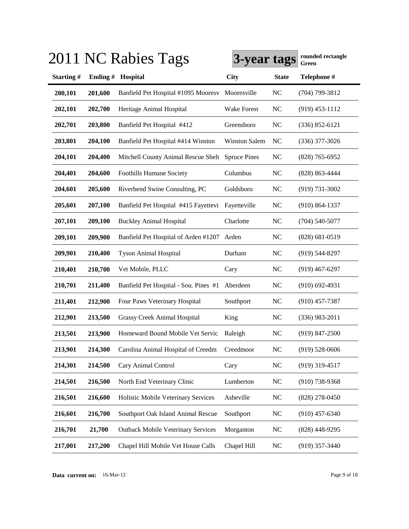|           |         | 2011 NC Rabies Tags                              | 3-year tags          |              | rounded rectangle<br>Green |
|-----------|---------|--------------------------------------------------|----------------------|--------------|----------------------------|
| Starting# | Ending# | Hospital                                         | <b>City</b>          | <b>State</b> | Telephone #                |
| 200,101   | 201,600 | Banfield Pet Hospital #1095 Mooresv              | Mooresville          | <b>NC</b>    | (704) 799-3812             |
| 202,101   | 202,700 | Heritage Animal Hospital                         | Wake Forest          | <b>NC</b>    | $(919)$ 453-1112           |
| 202,701   | 203,800 | Banfield Pet Hospital #412                       | Greensboro           | <b>NC</b>    | $(336) 852 - 6121$         |
| 203,801   | 204,100 | Banfield Pet Hospital #414 Winston               | <b>Winston Salem</b> | NC           | $(336)$ 377-3026           |
| 204,101   | 204,400 | Mitchell County Animal Rescue Shelt Spruce Pines |                      | <b>NC</b>    | $(828)$ 765-6952           |
| 204,401   | 204,600 | <b>Foothills Humane Society</b>                  | Columbus             | <b>NC</b>    | $(828)$ 863-4444           |
| 204,601   | 205,600 | Riverbend Swine Consulting, PC                   | Goldsboro            | <b>NC</b>    | $(919) 731 - 3002$         |
| 205,601   | 207,100 | Banfield Pet Hospital #415 Fayettevi             | Fayetteville         | <b>NC</b>    | $(910) 864 - 1337$         |
| 207,101   | 209,100 | <b>Buckley Animal Hospital</b>                   | Charlotte            | <b>NC</b>    | $(704)$ 540-5077           |
| 209,101   | 209,900 | Banfield Pet Hospital of Arden #1207 Arden       |                      | <b>NC</b>    | $(828) 681 - 0519$         |
| 209,901   | 210,400 | <b>Tyson Animal Hospital</b>                     | Durham               | <b>NC</b>    | $(919) 544 - 8297$         |
| 210,401   | 210,700 | Vet Mobile, PLLC                                 | Cary                 | <b>NC</b>    | $(919)$ 467-6297           |
| 210,701   | 211,400 | Banfield Pet Hospital - Sou. Pines #1            | Aberdeen             | <b>NC</b>    | $(910)$ 692-4931           |
| 211,401   | 212,900 | Four Paws Veterinary Hospital                    | Southport            | <b>NC</b>    | $(910)$ 457-7387           |
| 212,901   | 213,500 | <b>Grassy Creek Animal Hospital</b>              | King                 | <b>NC</b>    | $(336)$ 983-2011           |
| 213,501   | 213,900 | Homeward Bound Mobile Vet Servic                 | Raleigh              | <b>NC</b>    | $(919)$ 847-2500           |
| 213,901   | 214,300 | Carolina Animal Hospital of Creedm               | Creedmoor            | NC           | $(919)$ 528-0606           |
| 214,301   | 214,500 | Cary Animal Control                              | Cary                 | <b>NC</b>    | $(919)$ 319-4517           |
| 214,501   | 216,500 | North End Veterinary Clinic                      | Lumberton            | <b>NC</b>    | $(910)$ 738-9368           |
| 216,501   | 216,600 | Holistic Mobile Veterinary Services              | Asheville            | <b>NC</b>    | $(828)$ 278-0450           |
| 216,601   | 216,700 | Southport Oak Island Animal Rescue               | Southport            | <b>NC</b>    | $(910)$ 457-6340           |
| 216,701   | 21,700  | <b>Outback Mobile Veterinary Services</b>        | Morganton            | <b>NC</b>    | $(828)$ 448-9295           |
| 217,001   | 217,200 | Chapel Hill Mobile Vet House Calls               | Chapel Hill          | <b>NC</b>    | $(919)$ 357-3440           |

**Data current on:** 16-Mar-12 Page 9 of 18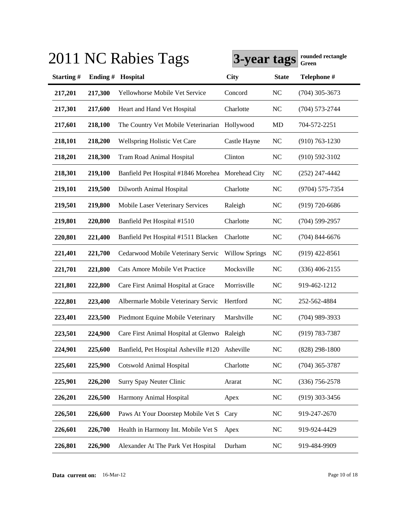|           |         | 2011 NC Rabies Tags                               | 3-year tags           |              | rounded rectangle<br>Green |
|-----------|---------|---------------------------------------------------|-----------------------|--------------|----------------------------|
| Starting# | Ending# | Hospital                                          | <b>City</b>           | <b>State</b> | Telephone #                |
| 217,201   | 217,300 | Yellowhorse Mobile Vet Service                    | Concord               | <b>NC</b>    | $(704)$ 305-3673           |
| 217,301   | 217,600 | Heart and Hand Vet Hospital                       | Charlotte             | <b>NC</b>    | $(704) 573 - 2744$         |
| 217,601   | 218,100 | The Country Vet Mobile Veterinarian               | Hollywood             | MD           | 704-572-2251               |
| 218,101   | 218,200 | Wellspring Holistic Vet Care                      | Castle Hayne          | <b>NC</b>    | $(910) 763 - 1230$         |
| 218,201   | 218,300 | Tram Road Animal Hospital                         | Clinton               | <b>NC</b>    | $(910)$ 592-3102           |
| 218,301   | 219,100 | Banfield Pet Hospital #1846 Morehea Morehead City |                       | NC           | $(252)$ 247-4442           |
| 219,101   | 219,500 | Dilworth Animal Hospital                          | Charlotte             | <b>NC</b>    | $(9704) 575 - 7354$        |
| 219,501   | 219,800 | Mobile Laser Veterinary Services                  | Raleigh               | <b>NC</b>    | $(919) 720 - 6686$         |
| 219,801   | 220,800 | Banfield Pet Hospital #1510                       | Charlotte             | NC           | $(704)$ 599-2957           |
| 220,801   | 221,400 | Banfield Pet Hospital #1511 Blacken               | Charlotte             | <b>NC</b>    | $(704)$ 844-6676           |
| 221,401   | 221,700 | Cedarwood Mobile Veterinary Servic                | <b>Willow Springs</b> | <b>NC</b>    | $(919)$ 422-8561           |
| 221,701   | 221,800 | Cats Amore Mobile Vet Practice                    | Mocksville            | <b>NC</b>    | $(336)$ 406-2155           |
| 221,801   | 222,800 | Care First Animal Hospital at Grace               | Morrisville           | <b>NC</b>    | 919-462-1212               |
| 222,801   | 223,400 | Albermarle Mobile Veterinary Servic               | Hertford              | <b>NC</b>    | 252-562-4884               |
| 223,401   | 223,500 | Piedmont Equine Mobile Veterinary                 | Marshville            | <b>NC</b>    | $(704)$ 989-3933           |
| 223,501   | 224,900 | Care First Animal Hospital at Glenwo Raleigh      |                       | <b>NC</b>    | $(919) 783 - 7387$         |
| 224,901   | 225,600 | Banfield, Pet Hospital Asheville #120 Asheville   |                       | NC           | $(828)$ 298-1800           |
| 225,601   | 225,900 | <b>Cotswold Animal Hospital</b>                   | Charlotte             | <b>NC</b>    | $(704)$ 365-3787           |
| 225,901   | 226,200 | Surry Spay Neuter Clinic                          | Ararat                | <b>NC</b>    | $(336)$ 756-2578           |
| 226,201   | 226,500 | Harmony Animal Hospital                           | Apex                  | <b>NC</b>    | $(919)$ 303-3456           |
| 226,501   | 226,600 | Paws At Your Doorstep Mobile Vet S                | Cary                  | <b>NC</b>    | 919-247-2670               |
| 226,601   | 226,700 | Health in Harmony Int. Mobile Vet S               | Apex                  | <b>NC</b>    | 919-924-4429               |
| 226,801   | 226,900 | Alexander At The Park Vet Hospital                | Durham                | <b>NC</b>    | 919-484-9909               |

**Data current on:** 16-Mar-12 Page 10 of 18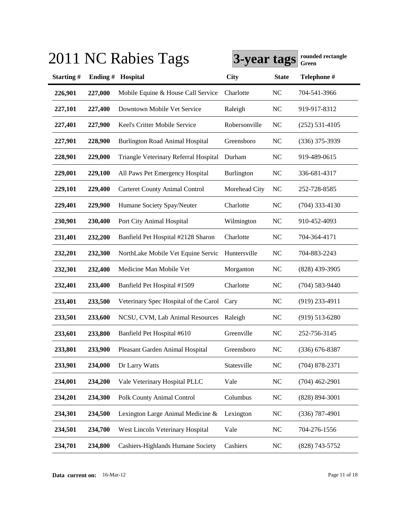|           |         | 2011 NC Rabies Tags                        | 3-year tags       |              | rounded rectangle<br>Green |
|-----------|---------|--------------------------------------------|-------------------|--------------|----------------------------|
| Starting# | Ending# | Hospital                                   | <b>City</b>       | <b>State</b> | Telephone #                |
| 226,901   | 227,000 | Mobile Equine & House Call Service         | Charlotte         | <b>NC</b>    | 704-541-3966               |
| 227,101   | 227,400 | Downtown Mobile Vet Service                | Raleigh           | <b>NC</b>    | 919-917-8312               |
| 227,401   | 227,900 | Keel's Critter Mobile Service              | Robersonville     | NC           | $(252)$ 531-4105           |
| 227,901   | 228,900 | <b>Burlington Road Animal Hospital</b>     | Greensboro        | <b>NC</b>    | $(336)$ 375-3939           |
| 228,901   | 229,000 | Triangle Veterinary Referral Hospital      | Durham            | <b>NC</b>    | 919-489-0615               |
| 229,001   | 229,100 | All Paws Pet Emergency Hospital            | <b>Burlington</b> | <b>NC</b>    | 336-681-4317               |
| 229,101   | 229,400 | <b>Carteret County Animal Control</b>      | Morehead City     | NC           | 252-728-8585               |
| 229,401   | 229,900 | Humane Society Spay/Neuter                 | Charlotte         | <b>NC</b>    | $(704)$ 333-4130           |
| 230,901   | 230,400 | Port City Animal Hospital                  | Wilmington        | <b>NC</b>    | 910-452-4093               |
| 231,401   | 232,200 | Banfield Pet Hospital #2128 Sharon         | Charlotte         | <b>NC</b>    | 704-364-4171               |
| 232,201   | 232,300 | NorthLake Mobile Vet Equine Servic         | Huntersville      | <b>NC</b>    | 704-883-2243               |
| 232,301   | 232,400 | Medicine Man Mobile Vet                    | Morganton         | <b>NC</b>    | $(828)$ 439-3905           |
| 232,401   | 233,400 | Banfield Pet Hospital #1509                | Charlotte         | <b>NC</b>    | $(704)$ 583-9440           |
| 233,401   | 233,500 | Veterinary Spec Hospital of the Carol Cary |                   | <b>NC</b>    | $(919)$ 233-4911           |
| 233,501   | 233,600 | NCSU, CVM, Lab Animal Resources            | Raleigh           | <b>NC</b>    | $(919) 513 - 6280$         |
| 233,601   | 233,800 | Banfield Pet Hospital #610                 | Greenville        | NC           | 252-756-3145               |
| 233,801   | 233,900 | Pleasant Garden Animal Hospital            | Greensboro        | NC           | $(336)$ 676-8387           |
| 233,901   | 234,000 | Dr Larry Watts                             | Statesville       | NC           | $(704)$ 878-2371           |
| 234,001   | 234,200 | Vale Veterinary Hospital PLLC              | Vale              | <b>NC</b>    | $(704)$ 462-2901           |
| 234,201   | 234,300 | Polk County Animal Control                 | Columbus          | <b>NC</b>    | $(828) 894 - 3001$         |
| 234,301   | 234,500 | Lexington Large Animal Medicine &          | Lexington         | <b>NC</b>    | $(336)$ 787-4901           |
| 234,501   | 234,700 | West Lincoln Veterinary Hospital           | Vale              | <b>NC</b>    | 704-276-1556               |
| 234,701   | 234,800 | Cashiers-Highlands Humane Society          | Cashiers          | <b>NC</b>    | (828) 743-5752             |

**Data current on:** 16-Mar-12 Page 11 of 18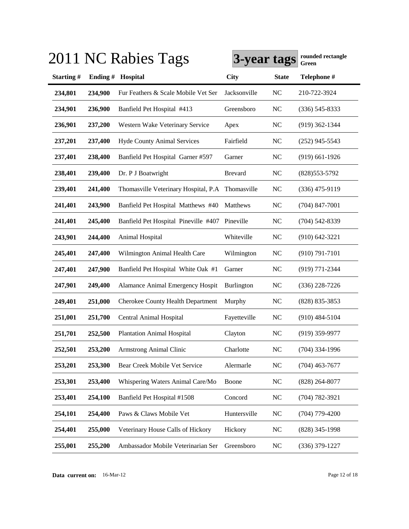|           |         | 2011 NC Rabies Tags                              | 3-year tags       |              | rounded rectangle<br>Green |
|-----------|---------|--------------------------------------------------|-------------------|--------------|----------------------------|
| Starting# | Ending# | Hospital                                         | <b>City</b>       | <b>State</b> | Telephone #                |
| 234,801   | 234,900 | Fur Feathers & Scale Mobile Vet Ser              | Jacksonville      | NC           | 210-722-3924               |
| 234,901   | 236,900 | Banfield Pet Hospital #413                       | Greensboro        | NC           | $(336)$ 545-8333           |
| 236,901   | 237,200 | Western Wake Veterinary Service                  | Apex              | NC           | $(919)$ 362-1344           |
| 237,201   | 237,400 | <b>Hyde County Animal Services</b>               | Fairfield         | NC           | $(252)$ 945-5543           |
| 237,401   | 238,400 | Banfield Pet Hospital Garner #597                | Garner            | NC           | $(919)$ 661-1926           |
| 238,401   | 239,400 | Dr. P J Boatwright                               | <b>Brevard</b>    | NC           | (828) 553-5792             |
| 239,401   | 241,400 | Thomasville Veterinary Hospital, P.A Thomasville |                   | NC           | $(336)$ 475-9119           |
| 241,401   | 243,900 | Banfield Pet Hospital Matthews #40               | Matthews          | NC           | $(704)$ 847-7001           |
| 241,401   | 245,400 | Banfield Pet Hospital Pineville #407 Pineville   |                   | NC           | $(704)$ 542-8339           |
| 243,901   | 244,400 | Animal Hospital                                  | Whiteville        | NC           | $(910)$ 642-3221           |
| 245,401   | 247,400 | Wilmington Animal Health Care                    | Wilmington        | <b>NC</b>    | $(910) 791 - 7101$         |
| 247,401   | 247,900 | Banfield Pet Hospital White Oak #1               | Garner            | NC           | $(919)$ 771-2344           |
| 247,901   | 249,400 | Alamance Animal Emergency Hospit                 | <b>Burlington</b> | NC           | $(336)$ 228-7226           |
| 249,401   | 251,000 | <b>Cherokee County Health Department</b>         | Murphy            | <b>NC</b>    | $(828)$ 835-3853           |
| 251,001   | 251,700 | <b>Central Animal Hospital</b>                   | Fayetteville      | <b>NC</b>    | $(910)$ 484-5104           |
| 251,701   | 252,500 | <b>Plantation Animal Hospital</b>                | Clayton           | <b>NC</b>    | $(919)$ 359-9977           |
| 252,501   | 253,200 | <b>Armstrong Animal Clinic</b>                   | Charlotte         | NC           | $(704)$ 334-1996           |
| 253,201   | 253,300 | Bear Creek Mobile Vet Service                    | Alermarle         | <b>NC</b>    | $(704)$ 463-7677           |
| 253,301   | 253,400 | Whispering Waters Animal Care/Mo                 | Boone             | <b>NC</b>    | $(828)$ 264-8077           |
| 253,401   | 254,100 | Banfield Pet Hospital #1508                      | Concord           | <b>NC</b>    | $(704) 782 - 3921$         |
| 254,101   | 254,400 | Paws & Claws Mobile Vet                          | Huntersville      | <b>NC</b>    | $(704)$ 779-4200           |
| 254,401   | 255,000 | Veterinary House Calls of Hickory                | Hickory           | NC           | $(828)$ 345-1998           |
| 255,001   | 255,200 | Ambassador Mobile Veterinarian Ser               | Greensboro        | NC           | $(336)$ 379-1227           |

**Data current on:** 16-Mar-12 Page 12 of 18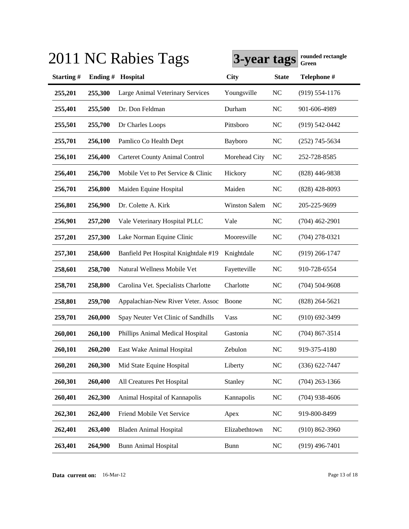|           |         | 2011 NC Rabies Tags                   | 3-year tags          |              | rounded rectangle<br>Green |
|-----------|---------|---------------------------------------|----------------------|--------------|----------------------------|
| Starting# | Ending# | Hospital                              | <b>City</b>          | <b>State</b> | Telephone #                |
| 255,201   | 255,300 | Large Animal Veterinary Services      | Youngsville          | NC           | $(919) 554 - 1176$         |
| 255,401   | 255,500 | Dr. Don Feldman                       | Durham               | NC           | 901-606-4989               |
| 255,501   | 255,700 | Dr Charles Loops                      | Pittsboro            | NC           | $(919) 542 - 0442$         |
| 255,701   | 256,100 | Pamlico Co Health Dept                | Bayboro              | <b>NC</b>    | $(252)$ 745-5634           |
| 256,101   | 256,400 | <b>Carteret County Animal Control</b> | Morehead City        | NC           | 252-728-8585               |
| 256,401   | 256,700 | Mobile Vet to Pet Service & Clinic    | Hickory              | <b>NC</b>    | $(828)$ 446-9838           |
| 256,701   | 256,800 | Maiden Equine Hospital                | Maiden               | NC           | $(828)$ 428-8093           |
| 256,801   | 256,900 | Dr. Colette A. Kirk                   | <b>Winston Salem</b> | NC           | 205-225-9699               |
| 256,901   | 257,200 | Vale Veterinary Hospital PLLC         | Vale                 | NC           | $(704)$ 462-2901           |
| 257,201   | 257,300 | Lake Norman Equine Clinic             | Mooresville          | <b>NC</b>    | $(704)$ 278-0321           |
| 257,301   | 258,600 | Banfield Pet Hospital Knightdale #19  | Knightdale           | <b>NC</b>    | $(919)$ 266-1747           |
| 258,601   | 258,700 | Natural Wellness Mobile Vet           | Fayetteville         | <b>NC</b>    | 910-728-6554               |
| 258,701   | 258,800 | Carolina Vet. Specialists Charlotte   | Charlotte            | <b>NC</b>    | $(704) 504 - 9608$         |
| 258,801   | 259,700 | Appalachian-New River Veter. Assoc    | Boone                | <b>NC</b>    | $(828)$ 264-5621           |
| 259,701   | 260,000 | Spay Neuter Vet Clinic of Sandhills   | Vass                 | <b>NC</b>    | $(910) 692 - 3499$         |
| 260,001   | 260,100 | Phillips Animal Medical Hospital      | Gastonia             | <b>NC</b>    | $(704)$ 867-3514           |
| 260,101   | 260,200 | East Wake Animal Hospital             | Zebulon              | <b>NC</b>    | 919-375-4180               |
| 260,201   | 260,300 | Mid State Equine Hospital             | Liberty              | NC           | $(336) 622 - 7447$         |
| 260,301   | 260,400 | All Creatures Pet Hospital            | <b>Stanley</b>       | <b>NC</b>    | $(704)$ 263-1366           |
| 260,401   | 262,300 | Animal Hospital of Kannapolis         | Kannapolis           | <b>NC</b>    | $(704)$ 938-4606           |
| 262,301   | 262,400 | Friend Mobile Vet Service             | Apex                 | <b>NC</b>    | 919-800-8499               |
| 262,401   | 263,400 | <b>Bladen Animal Hospital</b>         | Elizabethtown        | <b>NC</b>    | $(910) 862 - 3960$         |
| 263,401   | 264,900 | <b>Bunn Animal Hospital</b>           | <b>Bunn</b>          | <b>NC</b>    | $(919)$ 496-7401           |

# $3.911 \times 10^{-4}$   $r_{\text{e}} = T_{\text{e}}$

**Data current on:** 16-Mar-12 Page 13 of 18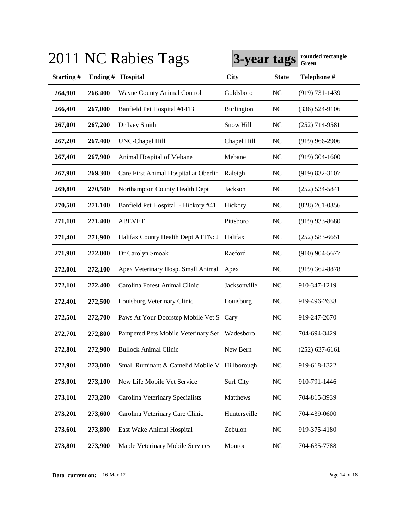|           |         | 2011 NC Rabies Tags                           | 3-year tags  |              | rounded rectangle<br>Green |
|-----------|---------|-----------------------------------------------|--------------|--------------|----------------------------|
| Starting# | Ending# | Hospital                                      | <b>City</b>  | <b>State</b> | Telephone #                |
| 264,901   | 266,400 | Wayne County Animal Control                   | Goldsboro    | NC           | $(919) 731 - 1439$         |
| 266,401   | 267,000 | Banfield Pet Hospital #1413                   | Burlington   | NC           | $(336) 524-9106$           |
| 267,001   | 267,200 | Dr Ivey Smith                                 | Snow Hill    | NC           | $(252)$ 714-9581           |
| 267,201   | 267,400 | UNC-Chapel Hill                               | Chapel Hill  | NC           | $(919)$ 966-2906           |
| 267,401   | 267,900 | Animal Hospital of Mebane                     | Mebane       | NC           | $(919)$ 304-1600           |
| 267,901   | 269,300 | Care First Animal Hospital at Oberlin         | Raleigh      | NC           | $(919) 832 - 3107$         |
| 269,801   | 270,500 | Northampton County Health Dept                | Jackson      | NC           | $(252) 534 - 5841$         |
| 270,501   | 271,100 | Banfield Pet Hospital - Hickory #41           | Hickory      | NC           | $(828)$ 261-0356           |
| 271,101   | 271,400 | <b>ABEVET</b>                                 | Pittsboro    | NC           | $(919)$ 933-8680           |
| 271,401   | 271,900 | Halifax County Health Dept ATTN: J            | Halifax      | NC           | $(252) 583 - 6651$         |
| 271,901   | 272,000 | Dr Carolyn Smoak                              | Raeford      | <b>NC</b>    | $(910)$ 904-5677           |
| 272,001   | 272,100 | Apex Veterinary Hosp. Small Animal            | Apex         | <b>NC</b>    | $(919)$ 362-8878           |
| 272,101   | 272,400 | Carolina Forest Animal Clinic                 | Jacksonville | <b>NC</b>    | 910-347-1219               |
| 272,401   | 272,500 | Louisburg Veterinary Clinic                   | Louisburg    | <b>NC</b>    | 919-496-2638               |
| 272,501   | 272,700 | Paws At Your Doorstep Mobile Vet S Cary       |              | <b>NC</b>    | 919-247-2670               |
| 272,701   | 272,800 | Pampered Pets Mobile Veterinary Ser Wadesboro |              | <b>NC</b>    | 704-694-3429               |
| 272,801   | 272,900 | <b>Bullock Animal Clinic</b>                  | New Bern     | <b>NC</b>    | $(252) 637 - 6161$         |
| 272,901   | 273,000 | Small Ruminant & Camelid Mobile V             | Hillborough  | <b>NC</b>    | 919-618-1322               |
| 273,001   | 273,100 | New Life Mobile Vet Service                   | Surf City    | <b>NC</b>    | 910-791-1446               |
| 273,101   | 273,200 | Carolina Veterinary Specialists               | Matthews     | <b>NC</b>    | 704-815-3939               |
| 273,201   | 273,600 | Carolina Veterinary Care Clinic               | Huntersville | <b>NC</b>    | 704-439-0600               |
| 273,601   | 273,800 | East Wake Animal Hospital                     | Zebulon      | <b>NC</b>    | 919-375-4180               |
| 273,801   | 273,900 | Maple Veterinary Mobile Services              | Monroe       | <b>NC</b>    | 704-635-7788               |

# $3.911 \times 10^{-4}$   $r_{\text{e}} = T_{\text{e}}$

**Data current on:** 16-Mar-12 Page 14 of 18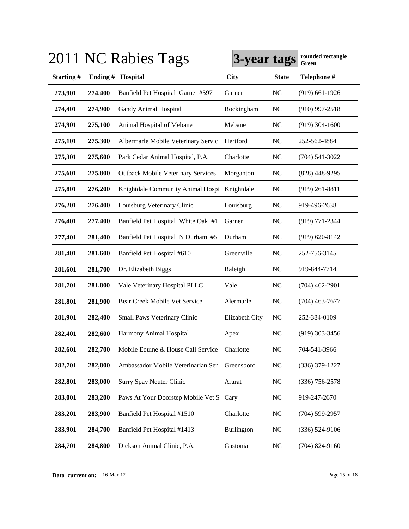|           |         | 2011 NC Rabies Tags                          | 3-year tags       |              | rounded rectangle<br><b>Green</b> |
|-----------|---------|----------------------------------------------|-------------------|--------------|-----------------------------------|
| Starting# |         | Ending # Hospital                            | <b>City</b>       | <b>State</b> | Telephone #                       |
| 273,901   | 274,400 | Banfield Pet Hospital Garner #597            | Garner            | <b>NC</b>    | $(919)$ 661-1926                  |
| 274,401   | 274,900 | Gandy Animal Hospital                        | Rockingham        | <b>NC</b>    | $(910)$ 997-2518                  |
| 274,901   | 275,100 | Animal Hospital of Mebane                    | Mebane            | <b>NC</b>    | $(919)$ 304-1600                  |
| 275,101   | 275,300 | Albermarle Mobile Veterinary Servic          | Hertford          | <b>NC</b>    | 252-562-4884                      |
| 275,301   | 275,600 | Park Cedar Animal Hospital, P.A.             | Charlotte         | <b>NC</b>    | $(704)$ 541-3022                  |
| 275,601   | 275,800 | <b>Outback Mobile Veterinary Services</b>    | Morganton         | <b>NC</b>    | $(828)$ 448-9295                  |
| 275,801   | 276,200 | Knightdale Community Animal Hospi Knightdale |                   | <b>NC</b>    | $(919)$ 261-8811                  |
| 276,201   | 276,400 | Louisburg Veterinary Clinic                  | Louisburg         | <b>NC</b>    | 919-496-2638                      |
| 276,401   | 277,400 | Banfield Pet Hospital White Oak #1           | Garner            | <b>NC</b>    | (919) 771-2344                    |
| 277,401   | 281,400 | Banfield Pet Hospital N Durham #5            | Durham            | <b>NC</b>    | $(919) 620 - 8142$                |
| 281,401   | 281,600 | Banfield Pet Hospital #610                   | Greenville        | <b>NC</b>    | 252-756-3145                      |
| 281,601   | 281,700 | Dr. Elizabeth Biggs                          | Raleigh           | <b>NC</b>    | 919-844-7714                      |
| 281,701   | 281,800 | Vale Veterinary Hospital PLLC                | Vale              | NC           | $(704)$ 462-2901                  |
| 281,801   | 281,900 | Bear Creek Mobile Vet Service                | Alermarle         | NC           | $(704)$ 463-7677                  |
| 281,901   | 282,400 | Small Paws Veterinary Clinic                 | Elizabeth City    | <b>NC</b>    | 252-384-0109                      |
| 282,401   | 282,600 | Harmony Animal Hospital                      | Apex              | <b>NC</b>    | $(919)$ 303-3456                  |
| 282,601   | 282,700 | Mobile Equine & House Call Service           | Charlotte         | <b>NC</b>    | 704-541-3966                      |
| 282,701   | 282,800 | Ambassador Mobile Veterinarian Ser           | Greensboro        | NC           | $(336)$ 379-1227                  |
| 282,801   | 283,000 | Surry Spay Neuter Clinic                     | Ararat            | <b>NC</b>    | $(336)$ 756-2578                  |
| 283,001   | 283,200 | Paws At Your Doorstep Mobile Vet S           | Cary              | <b>NC</b>    | 919-247-2670                      |
| 283,201   | 283,900 | Banfield Pet Hospital #1510                  | Charlotte         | <b>NC</b>    | $(704)$ 599-2957                  |
| 283,901   | 284,700 | Banfield Pet Hospital #1413                  | <b>Burlington</b> | <b>NC</b>    | $(336) 524-9106$                  |
| 284,701   | 284,800 | Dickson Animal Clinic, P.A.                  | Gastonia          | <b>NC</b>    | $(704)$ 824-9160                  |

# **3011 NC Rabies Tags Green** 2011 **rounded rectangle**

**Data current on:** 16-Mar-12 Page 15 of 18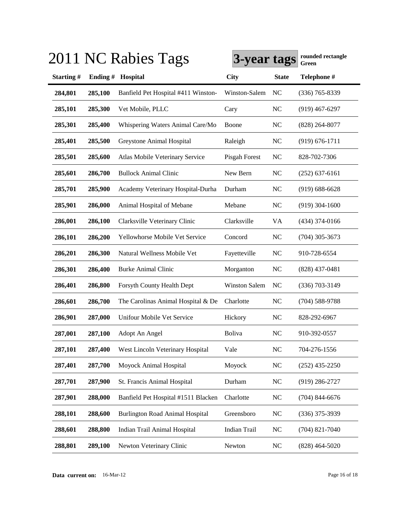|           |         | 2011 NC Rabies Tags                    | 3-year tags          |              | rounded rectangle<br><b>Green</b> |
|-----------|---------|----------------------------------------|----------------------|--------------|-----------------------------------|
| Starting# | Ending# | Hospital                               | <b>City</b>          | <b>State</b> | Telephone #                       |
| 284,801   | 285,100 | Banfield Pet Hospital #411 Winston-    | Winston-Salem        | NC           | $(336)$ 765-8339                  |
| 285,101   | 285,300 | Vet Mobile, PLLC                       | Cary                 | <b>NC</b>    | $(919)$ 467-6297                  |
| 285,301   | 285,400 | Whispering Waters Animal Care/Mo       | Boone                | <b>NC</b>    | $(828)$ 264-8077                  |
| 285,401   | 285,500 | Greystone Animal Hospital              | Raleigh              | <b>NC</b>    | $(919) 676 - 1711$                |
| 285,501   | 285,600 | Atlas Mobile Veterinary Service        | Pisgah Forest        | NC           | 828-702-7306                      |
| 285,601   | 286,700 | <b>Bullock Animal Clinic</b>           | New Bern             | NC           | $(252)$ 637-6161                  |
| 285,701   | 285,900 | Academy Veterinary Hospital-Durha      | Durham               | NC           | $(919) 688 - 6628$                |
| 285,901   | 286,000 | Animal Hospital of Mebane              | Mebane               | NC           | $(919)$ 304-1600                  |
| 286,001   | 286,100 | Clarksville Veterinary Clinic          | Clarksville          | VA           | $(434)$ 374-0166                  |
| 286,101   | 286,200 | Yellowhorse Mobile Vet Service         | Concord              | <b>NC</b>    | $(704)$ 305-3673                  |
| 286,201   | 286,300 | Natural Wellness Mobile Vet            | Fayetteville         | <b>NC</b>    | 910-728-6554                      |
| 286,301   | 286,400 | <b>Burke Animal Clinic</b>             | Morganton            | <b>NC</b>    | $(828)$ 437-0481                  |
| 286,401   | 286,800 | Forsyth County Health Dept             | <b>Winston Salem</b> | NC           | $(336)$ 703-3149                  |
| 286,601   | 286,700 | The Carolinas Animal Hospital & De     | Charlotte            | <b>NC</b>    | $(704) 588 - 9788$                |
| 286,901   | 287,000 | Unifour Mobile Vet Service             | Hickory              | <b>NC</b>    | 828-292-6967                      |
| 287,001   | 287,100 | Adopt An Angel                         | Boliva               | NC           | 910-392-0557                      |
| 287,101   | 287,400 | West Lincoln Veterinary Hospital       | Vale                 | NC           | 704-276-1556                      |
| 287,401   | 287,700 | Moyock Animal Hospital                 | Moyock               | <b>NC</b>    | $(252)$ 435-2250                  |
| 287,701   | 287,900 | St. Francis Animal Hospital            | Durham               | <b>NC</b>    | $(919)$ 286-2727                  |
| 287,901   | 288,000 | Banfield Pet Hospital #1511 Blacken    | Charlotte            | <b>NC</b>    | $(704)$ 844-6676                  |
| 288,101   | 288,600 | <b>Burlington Road Animal Hospital</b> | Greensboro           | <b>NC</b>    | $(336)$ 375-3939                  |
| 288,601   | 288,800 | Indian Trail Animal Hospital           | Indian Trail         | <b>NC</b>    | $(704)$ 821-7040                  |
| 288,801   | 289,100 | Newton Veterinary Clinic               | Newton               | <b>NC</b>    | $(828)$ 464-5020                  |

**Data current on:** 16-Mar-12 Page 16 of 18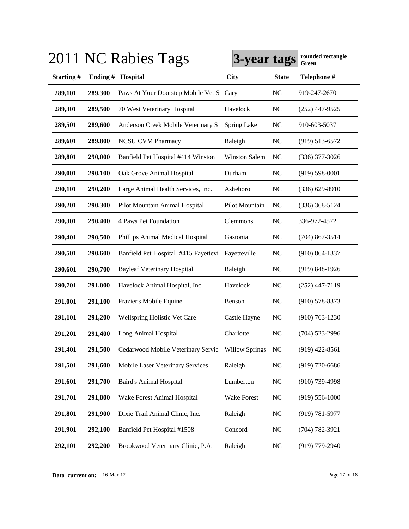|           |         | 2011 NC Rabies Tags                               | 3-year tags          |              | rounded rectangle<br>Green |
|-----------|---------|---------------------------------------------------|----------------------|--------------|----------------------------|
| Starting# | Ending# | Hospital                                          | <b>City</b>          | <b>State</b> | Telephone #                |
| 289,101   | 289,300 | Paws At Your Doorstep Mobile Vet S                | Cary                 | NC           | 919-247-2670               |
| 289,301   | 289,500 | 70 West Veterinary Hospital                       | Havelock             | NC           | $(252)$ 447-9525           |
| 289,501   | 289,600 | Anderson Creek Mobile Veterinary S                | Spring Lake          | NC           | 910-603-5037               |
| 289,601   | 289,800 | <b>NCSU CVM Pharmacy</b>                          | Raleigh              | NC           | $(919) 513 - 6572$         |
| 289,801   | 290,000 | Banfield Pet Hospital #414 Winston                | <b>Winston Salem</b> | NC           | $(336)$ 377-3026           |
| 290,001   | 290,100 | Oak Grove Animal Hospital                         | Durham               | NC           | $(919) 598 - 0001$         |
| 290,101   | 290,200 | Large Animal Health Services, Inc.                | Asheboro             | NC           | $(336) 629 - 8910$         |
| 290,201   | 290,300 | Pilot Mountain Animal Hospital                    | Pilot Mountain       | NC           | $(336)$ 368-5124           |
| 290,301   | 290,400 | 4 Paws Pet Foundation                             | Clemmons             | NC           | 336-972-4572               |
| 290,401   | 290,500 | Phillips Animal Medical Hospital                  | Gastonia             | NC           | $(704)$ 867-3514           |
| 290,501   | 290,600 | Banfield Pet Hospital #415 Fayettevi              | Fayetteville         | NC           | $(910) 864 - 1337$         |
| 290,601   | 290,700 | <b>Bayleaf Veterinary Hospital</b>                | Raleigh              | NC           | $(919) 848 - 1926$         |
| 290,701   | 291,000 | Havelock Animal Hospital, Inc.                    | Havelock             | NC           | $(252)$ 447-7119           |
| 291,001   | 291,100 | Frazier's Mobile Equine                           | Benson               | NC           | $(910)$ 578-8373           |
| 291,101   | 291,200 | Wellspring Holistic Vet Care                      | Castle Hayne         | NC           | $(910) 763 - 1230$         |
| 291,201   | 291,400 | Long Animal Hospital                              | Charlotte            | NC           | $(704)$ 523-2996           |
| 291,401   | 291,500 | Cedarwood Mobile Veterinary Servic Willow Springs |                      | NC           | $(919)$ 422-8561           |
| 291,501   | 291,600 | Mobile Laser Veterinary Services                  | Raleigh              | NC           | $(919) 720 - 6686$         |
| 291,601   | 291,700 | <b>Baird's Animal Hospital</b>                    | Lumberton            | NC           | $(910)$ 739-4998           |
| 291,701   | 291,800 | Wake Forest Animal Hospital                       | Wake Forest          | NC           | $(919) 556 - 1000$         |
| 291,801   | 291,900 | Dixie Trail Animal Clinic, Inc.                   | Raleigh              | NC           | $(919) 781 - 5977$         |
| 291,901   | 292,100 | Banfield Pet Hospital #1508                       | Concord              | NC           | $(704) 782 - 3921$         |
| 292,101   | 292,200 | Brookwood Veterinary Clinic, P.A.                 | Raleigh              | NC           | $(919)$ 779-2940           |

**Data current on:** 16-Mar-12 Page 17 of 18